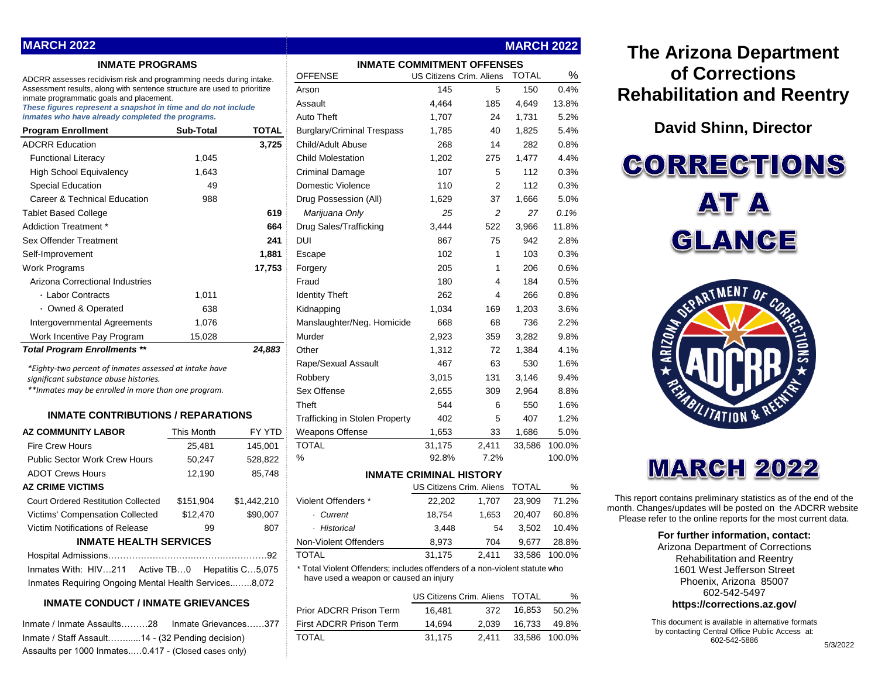| <b>MARCH 2022</b>                                                                                                    |            |                  |                                                                                                                      |        |                                | <b>MARCH 2022</b> |        |
|----------------------------------------------------------------------------------------------------------------------|------------|------------------|----------------------------------------------------------------------------------------------------------------------|--------|--------------------------------|-------------------|--------|
| <b>INMATE PROGRAMS</b>                                                                                               |            |                  | <b>INMATE COMMITMENT OFFENSES</b>                                                                                    |        |                                |                   |        |
| ADCRR assesses recidivism risk and programming needs during intake.                                                  |            |                  | <b>OFFENSE</b>                                                                                                       |        | US Citizens Crim. Aliens       | <b>TOTAL</b>      | %      |
| Assessment results, along with sentence structure are used to prioritize<br>inmate programmatic goals and placement. |            |                  | Arson                                                                                                                | 145    | 5                              | 150               | 0.4%   |
| These figures represent a snapshot in time and do not include                                                        |            |                  | Assault                                                                                                              | 4,464  | 185                            | 4,649             | 13.8%  |
| inmates who have already completed the programs.                                                                     |            |                  | <b>Auto Theft</b>                                                                                                    | 1,707  | 24                             | 1,731             | 5.2%   |
| <b>Program Enrollment</b>                                                                                            | Sub-Total  | TOTAL            | <b>Burglary/Criminal Trespass</b>                                                                                    | 1,785  | 40                             | 1,825             | 5.4%   |
| <b>ADCRR Education</b>                                                                                               |            | 3,725            | Child/Adult Abuse                                                                                                    | 268    | 14                             | 282               | 0.8%   |
| <b>Functional Literacy</b>                                                                                           | 1,045      |                  | <b>Child Molestation</b>                                                                                             | 1,202  | 275                            | 1,477             | 4.4%   |
| High School Equivalency                                                                                              | 1,643      |                  | Criminal Damage                                                                                                      | 107    | 5                              | 112               | 0.3%   |
| <b>Special Education</b>                                                                                             | 49         |                  | Domestic Violence                                                                                                    | 110    | $\overline{2}$                 | 112               | 0.3%   |
| Career & Technical Education                                                                                         | 988        |                  | Drug Possession (All)                                                                                                | 1,629  | 37                             | 1,666             | 5.0%   |
| <b>Tablet Based College</b>                                                                                          |            | 619              | Marijuana Only                                                                                                       | 25     | 2                              | 27                | 0.1%   |
| Addiction Treatment *                                                                                                |            | 664              | Drug Sales/Trafficking                                                                                               | 3,444  | 522                            | 3,966             | 11.8%  |
| Sex Offender Treatment                                                                                               |            | 241              | DUI                                                                                                                  | 867    | 75                             | 942               | 2.8%   |
| Self-Improvement                                                                                                     |            | 1,881            | Escape                                                                                                               | 102    | $\mathbf{1}$                   | 103               | 0.3%   |
| Work Programs                                                                                                        |            | 17,753           | Forgery                                                                                                              | 205    | $\mathbf{1}$                   | 206               | 0.6%   |
| Arizona Correctional Industries                                                                                      |            |                  | Fraud                                                                                                                | 180    | 4                              | 184               | 0.5%   |
| · Labor Contracts                                                                                                    | 1,011      |                  | <b>Identity Theft</b>                                                                                                | 262    | 4                              | 266               | 0.8%   |
| • Owned & Operated                                                                                                   | 638        |                  | Kidnapping                                                                                                           | 1,034  | 169                            | 1,203             | 3.6%   |
| Intergovernmental Agreements                                                                                         | 1.076      |                  | Manslaughter/Neg. Homicide                                                                                           | 668    | 68                             | 736               | 2.2%   |
| Work Incentive Pay Program                                                                                           | 15,028     |                  | Murder                                                                                                               | 2,923  | 359                            | 3,282             | 9.8%   |
| <b>Total Program Enrollments **</b>                                                                                  |            | 24,883           | Other                                                                                                                | 1,312  | 72                             | 1,384             | 4.1%   |
| *Eighty-two percent of inmates assessed at intake have                                                               |            |                  | Rape/Sexual Assault                                                                                                  | 467    | 63                             | 530               | 1.6%   |
| significant substance abuse histories.                                                                               |            |                  | Robbery                                                                                                              | 3,015  | 131                            | 3,146             | 9.4%   |
| **Inmates may be enrolled in more than one program.                                                                  |            |                  | Sex Offense                                                                                                          | 2,655  | 309                            | 2,964             | 8.8%   |
|                                                                                                                      |            |                  | Theft                                                                                                                | 544    | 6                              | 550               | 1.6%   |
| <b>INMATE CONTRIBUTIONS / REPARATIONS</b>                                                                            |            |                  | <b>Trafficking in Stolen Property</b>                                                                                | 402    | 5                              | 407               | 1.2%   |
| <b>AZ COMMUNITY LABOR</b>                                                                                            | This Month | FY YTD           | <b>Weapons Offense</b>                                                                                               | 1,653  | 33                             | 1,686             | 5.0%   |
| <b>Fire Crew Hours</b>                                                                                               | 25,481     | 145,001          | <b>TOTAL</b>                                                                                                         | 31,175 | 2,411                          | 33,586            | 100.0% |
| <b>Public Sector Work Crew Hours</b>                                                                                 | 50,247     | 528,822          | %                                                                                                                    | 92.8%  | 7.2%                           |                   | 100.0% |
| <b>ADOT Crews Hours</b>                                                                                              | 12,190     | 85,748           |                                                                                                                      |        | <b>INMATE CRIMINAL HISTORY</b> |                   |        |
| <b>AZ CRIME VICTIMS</b>                                                                                              |            |                  |                                                                                                                      |        | US Citizens Crim. Aliens       | <b>TOTAL</b>      | %      |
| Court Ordered Restitution Collected                                                                                  | \$151,904  | \$1,442,210      | Violent Offenders *                                                                                                  | 22,202 | 1,707                          | 23,909            | 71.2%  |
| Victims' Compensation Collected                                                                                      | \$12,470   | \$90,007         | · Current                                                                                                            | 18,754 | 1,653                          | 20,407            | 60.8%  |
| Victim Notifications of Release                                                                                      | 99         | 807              | · Historical                                                                                                         | 3,448  | 54                             | 3,502             | 10.4%  |
| <b>INMATE HEALTH SERVICES</b>                                                                                        |            |                  | Non-Violent Offenders                                                                                                | 8,973  | 704                            | 9,677             | 28.8%  |
|                                                                                                                      |            |                  | <b>TOTAL</b>                                                                                                         | 31,175 | 2,411                          | 33,586            | 100.0% |
| Inmates With: HIV211<br>Active TB0<br>Inmates Requiring Ongoing Mental Health Services8,072                          |            | Hepatitis C5,075 | * Total Violent Offenders; includes offenders of a non-violent statute who<br>have used a weapon or caused an injury |        |                                |                   |        |
|                                                                                                                      |            |                  |                                                                                                                      |        |                                |                   |        |

#### **INMATE CONDUCT / INMATE GRIEVANCES**

| Inmate / Staff Assault14 - (32 Pending decision)     |  |
|------------------------------------------------------|--|
| Assaults per 1000 Inmates0.417 - (Closed cases only) |  |

### **022**

# OFFENSE US Citizens Crim. Aliens TOTAL % Arson 145 5 150 0.4% Assault 4,464 185 4,649 13.8% Auto Theft 1,707 24 1,731 5.2% Rape/Sexual Assault 467 63 530 1.6% Robbery 3,015 131 3,146 9.4% Sex Offense 2,655 309 2,964 8.8% Theft 544 6 550 1.6% Trafficking in Stolen Property 402 5 407 1.2% Non-Violent Offenders 8,973 704 9,677 28.8% US Citizens Crim. Aliens TOTAL % \* Total Violent Offenders; includes offenders of a non-violent statute who

Prior ADCRR Prison Term 16,481 372 16,853 50.2% Inmate / Inmate Assaults………28 Inmate Grievances……377 First ADCRR Prison Term 14,694 2,039 16,733 49.8% Inmate / Staff Assault……......14 - (32 Pending decision) TOTAL 31,175 2,411 33,586 100.0%

## **The Arizona Department of Corrections Rehabilitation and Reentry**

**David Shinn, Director**

**CORRECTIONS AT A** GLANCE



# **MARCH 2022**

This report contains preliminary statistics as of the end of the month. Changes/updates will be posted on the ADCRR website. Please refer to the online reports for the most current data.

#### **For further information, contact:**

Arizona Department of Corrections Rehabilitation and Reentry 1601 West Jefferson Street Phoenix, Arizona 85007 602-542-5497 **https://corrections.az.gov/**

This document is available in alternative formats by contacting Central Office Public Access at: 602-542-5886